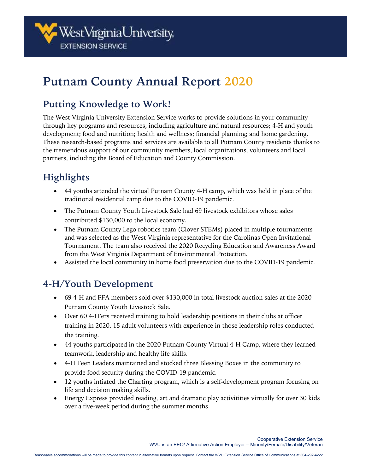

# **Putnam County Annual Report 2020**

#### **Putting Knowledge to Work!**

The West Virginia University Extension Service works to provide solutions in your community through key programs and resources, including agriculture and natural resources; 4-H and youth development; food and nutrition; health and wellness; financial planning; and home gardening. These research-based programs and services are available to all Putnam County residents thanks to the tremendous support of our community members, local organizations, volunteers and local partners, including the Board of Education and County Commission.

## **Highlights**

- 44 youths attended the virtual Putnam County 4-H camp, which was held in place of the traditional residential camp due to the COVID-19 pandemic.
- The Putnam County Youth Livestock Sale had 69 livestock exhibitors whose sales contributed \$130,000 to the local economy.
- The Putnam County Lego robotics team (Clover STEMs) placed in multiple tournaments and was selected as the West Virginia representative for the Carolinas Open Invitational Tournament. The team also received the 2020 Recycling Education and Awareness Award from the West Virginia Department of Environmental Protection.
- Assisted the local community in home food preservation due to the COVID-19 pandemic.

#### **4-H/Youth Development**

- 69 4-H and FFA members sold over \$130,000 in total livestock auction sales at the 2020 Putnam County Youth Livestock Sale.
- Over 60 4-H'ers received training to hold leadership positions in their clubs at officer training in 2020. 15 adult volunteers with experience in those leadership roles conducted the training.
- 44 youths participated in the 2020 Putnam County Virtual 4-H Camp, where they learned teamwork, leadership and healthy life skills.
- 4-H Teen Leaders maintained and stocked three Blessing Boxes in the community to provide food security during the COVID-19 pandemic.
- 12 youths intiated the Charting program, which is a self-development program focusing on life and decision making skills.
- Energy Express provided reading, art and dramatic play activitities virtually for over 30 kids over a five-week period during the summer months.